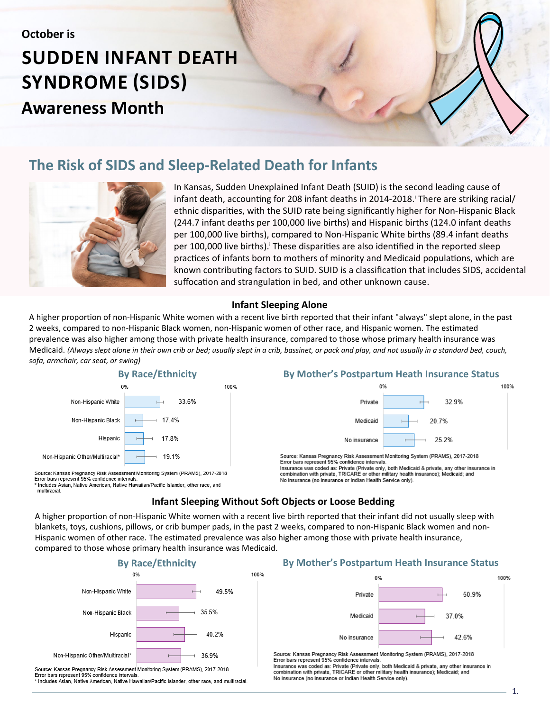# **SUDDEN INFANT DEATH SYNDROME (SIDS) Awareness Month**

## **The Risk of SIDS and Sleep-Related Death for Infants**



In Kansas, Sudden Unexplained Infant Death (SUID) is the second leading cause of infant death, accounting for 208 infant deaths in 2014-2018. There are striking racial/ ethnic disparities, with the SUID rate being significantly higher for Non-Hispanic Black (244.7 infant deaths per 100,000 live births) and Hispanic births (124.0 infant deaths per 100,000 live births), compared to Non-Hispanic White births (89.4 infant deaths per 100,000 live births).<sup>i</sup> These disparities are also identified in the reported sleep practices of infants born to mothers of minority and Medicaid populations, which are known contributing factors to SUID. SUID is a classification that includes SIDS, accidental suffocation and strangulation in bed, and other unknown cause.

#### **Infant Sleeping Alone**

A higher proportion of non-Hispanic White women with a recent live birth reported that their infant "always" slept alone, in the past 2 weeks, compared to non-Hispanic Black women, non-Hispanic women of other race, and Hispanic women. The estimated prevalence was also higher among those with private health insurance, compared to those whose primary health insurance was Medicaid. *(Always slept alone in their own crib or bed; usually slept in a crib, bassinet, or pack and play, and not usually in a standard bed, couch, sofa, armchair, car seat, or swing)* 



Source: Kansas Pregnancy Risk Assessment Monitoring System (PRAMS), 2017-2018 Error bars represent 95% confidence intervals. hcludes Asian, Native American, Native Hawaiian/Pacific Islander, other race, and multiracial

#### **By Race/Ethnicity By Mother's Postpartum Heath Insurance Status**



Source: Kansas Pregnancy Risk Assessment Monitoring System (PRAMS), 2017-2018 Error bars represent 95% confidence intervals Insurance was coded as: Private (Private only, both Medicaid & private, any other insurance in combination with private, TRICARE or other military health insurance); Medicaid; and No insurance (no insurance or Indian Health Service only).

#### **Infant Sleeping Without Soft Objects or Loose Bedding**

A higher proportion of non-Hispanic White women with a recent live birth reported that their infant did not usually sleep with blankets, toys, cushions, pillows, or crib bumper pads, in the past 2 weeks, compared to non-Hispanic Black women and non-Hispanic women of other race. The estimated prevalence was also higher among those with private health insurance, compared to those whose primary health insurance was Medicaid.

100%



Source: Kansas Pregnancy Risk Assessment Monitoring System (PRAMS), 2017-2018 Error bars represent 95% confidence intervals Includes Asian, Native American, Native Hawaiian/Pacific Islander, other race, and multiracial.

#### **By Mother's Postpartum Heath Insurance Status**



Source: Kansas Pregnancy Risk Assessment Monitoring System (PRAMS), 2017-2018 Error bars represent 95% confidence intervals

Insurance was coded as: Private (Private only, both Medicaid & private, any other insurance in combination with private, TRICARE or other military health insurance); Medicaid; and No insurance (no insurance or Indian Health Service only).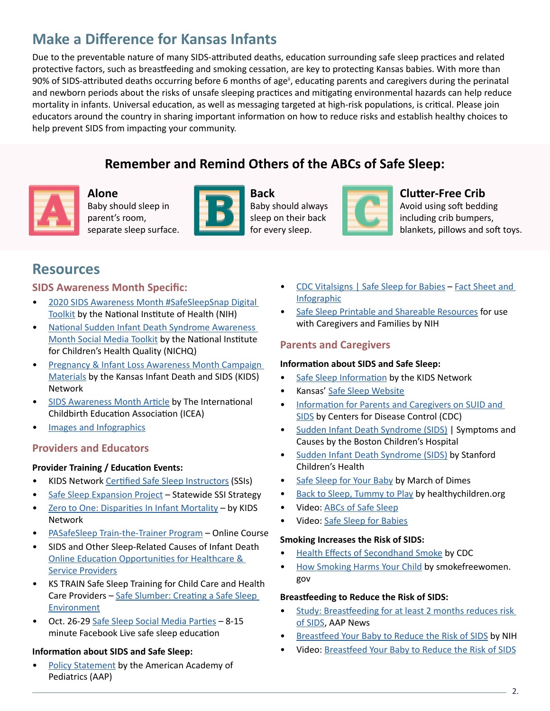## **Make a Difference for Kansas Infants**

Due to the preventable nature of many SIDS-attributed deaths, education surrounding safe sleep practices and related protective factors, such as breastfeeding and smoking cessation, are key to protecting Kansas babies. With more than 90% of SIDS-attributed deaths occurring before 6 months of age<sup>ii</sup>, educating parents and caregivers during the perinatal and newborn periods about the risks of unsafe sleeping practices and mitigating environmental hazards can help reduce mortality in infants. Universal education, as well as messaging targeted at high-risk populations, is critical. Please join educators around the country in sharing important information on how to reduce risks and establish healthy choices to help prevent SIDS from impacting your community.

## **Remember and Remind Others of the ABCs of Safe Sleep:**



**Alone** Baby should sleep in parent's room, separate sleep surface.



**Back** Baby should always sleep on their back for every sleep.



### **Clutter-Free Crib**

Avoid using soft bedding including crib bumpers, blankets, pillows and soft toys.

## **Resources**

#### **SIDS Awareness Month Specific:**

- [2020 SIDS Awareness Month #SafeSleepSnap Digital](https://safetosleep.nichd.nih.gov/resources/sids-awareness-toolkit) [Toolkit](https://safetosleep.nichd.nih.gov/resources/sids-awareness-toolkit) by the National Institute of Health (NIH)
- [National Sudden Infant Death Syndrome Awareness](https://www.nichq.org/resource/national-sudden-infant-death-syndrome-sids-awareness-month-social-media-toolkit) [Month Social Media Toolkit](https://www.nichq.org/resource/national-sudden-infant-death-syndrome-sids-awareness-month-social-media-toolkit) by the National Institute for Children's Health Quality (NICHQ)
- [Pregnancy & Infant Loss Awareness Month Campaign](http://www.kidsks.org/awareness-month.html) [Materials](http://www.kidsks.org/awareness-month.html) by the Kansas Infant Death and SIDS (KIDS) Network
- [SIDS Awareness Month Article](https://icea.org/sids-awareness-month/) by The International Childbirth Education Association (ICEA)
- [Images and Infographics](https://www.google.com/search?rlz=1C1GCEB_enUS801US801&sxsrf=ALeKk037CaG8XqJ2ZmlvW-hH5BX6z8Hjdw:1601321619272&source=univ&tbm=isch&q=sids+awareness+month&sa=X&ved=2ahUKEwjIpKbyy4zsAhWWZM0KHUT3A1gQ420oA3oECA4QCg&biw=1331&bih=711&safe=active&ssui=on)

### **Providers and Educators**

#### **Provider Training / Education Events:**

- KIDS Network [Certified Safe Sleep Instructors](http://www.kidsks.org/safe-sleep-instructors.html) (SSIs)
- [Safe Sleep Expansion Project](http://www.kidsks.org/statewide-ssi-strategy.html) Statewide SSI Strategy
- [Zero to One: Disparities In Infant Mortality](http://www.kidsks.org/professional-resources.html)  by KIDS Network
- [PASafeSleep Train-the-Trainer Program](https://www.pasafesleep.org/providereducation) Online Course
- SIDS and Other Sleep-Related Causes of Infant Death [Online Education Opportunities for Healthcare &](https://safetosleep.nichd.nih.gov/resources/providers) [Service Providers](https://safetosleep.nichd.nih.gov/resources/providers)
- KS TRAIN Safe Sleep Training for Child Care and Health Care Providers - [Safe Slumber: Creating a Safe Sleep](https://www.train.org/ks/course/1073036/) [Environment](https://www.train.org/ks/course/1073036/)
- Oct. 26-29 [Safe Sleep Social Media Parties](https://safetosleep.nichd.nih.gov/activities/outreach/social-media-block-party)  8-15 minute Facebook Live safe sleep education

#### **Information about SIDS and Safe Sleep:**

[Policy Statement](http://www.kidsks.org/uploads/4/9/1/4/49142465/peds.2016-2938.full._policy.pdf) by the American Academy of Pediatrics (AAP)

- [CDC Vitalsigns | Safe Sleep for Babies](https://www.cdc.gov/vitalsigns/safesleep/index.html) [Fact Sheet and](https://www.cdc.gov/vitalsigns/pdf/2018-01-vitalsigns.pdf) [Infographic](https://www.cdc.gov/vitalsigns/pdf/2018-01-vitalsigns.pdf)
- [Safe Sleep Printable and Shareable Resources](https://safetosleep.nichd.nih.gov/resources/caregivers) for use with Caregivers and Families by NIH

### **Parents and Caregivers**

#### **Information about SIDS and Safe Sleep:**

- [Safe Sleep Information](http://www.kidsks.org/safe-sleep.html) by the KIDS Network
- Kansas' [Safe Sleep Website](http://www.safesleepkansas.org/)
- [Information for Parents and Caregivers on SUID and](https://www.cdc.gov/sids/Parents-Caregivers.htm#:~:text=Keep%20your%20baby) [SIDS](https://www.cdc.gov/sids/Parents-Caregivers.htm#:~:text=Keep%20your%20baby) by Centers for Disease Control (CDC)
- [Sudden Infant Death Syndrome \(SIDS\)](http://www.childrenshospital.org/conditions-and-treatments/conditions/s/sudden-infant-death-syndrome-sids/symptoms-and-causes) | Symptoms and Causes by the Boston Children's Hospital
- [Sudden Infant Death Syndrome \(SIDS\)](https://www.stanfordchildrens.org/en/topic/default?id=sudden-infant-death-syndrome-sids-90-P02412) by Stanford Children's Health
- [Safe Sleep for Your Baby](https://www.marchofdimes.org/baby/safe-sleep-for-your-baby.aspx) by March of Dimes
- [Back to Sleep, Tummy to Play](https://www.healthychildren.org/English/ages-stages/baby/sleep/Pages/Back-to-Sleep-Tummy-to-Play.aspx) by healthychildren.org
- Video: [ABCs of Safe Sleep](Video:%20ABC’s%20of%20Safe%20Sleep)
- Video: [Safe Sleep for Babies](https://www.youtube.com/watch?v=TU2AzUKAOPE)

#### **Smoking Increases the Risk of SIDS:**

- [Health Effects of Secondhand Smoke](https://www.cdc.gov/tobacco/data_statistics/fact_sheets/secondhand_smoke/health_effects/index.htm) by CDC
- [How Smoking Harms Your Child](https://women.smokefree.gov/pregnancy-motherhood/smokefree-motherhood/how-smoking-harms-your-child) by smokefreewomen. gov

#### **Breastfeeding to Reduce the Risk of SIDS:**

- [Study: Breastfeeding for at least 2 months reduces risk](https://www.aappublications.org/news/2017/10/30/BreastfeedingSIDS103017) [of SIDS](https://www.aappublications.org/news/2017/10/30/BreastfeedingSIDS103017), AAP News
- [Breastfeed Your Baby to Reduce the Risk of SIDS](https://www.nichd.nih.gov/sites/default/files/2018-11/Breastfeed_Baby_SIDS_final.pdf) by NIH
- Video: [Breastfeed Your Baby to Reduce the Risk of SIDS](https://www.youtube.com/watch?v=TwEU44FEGJU)